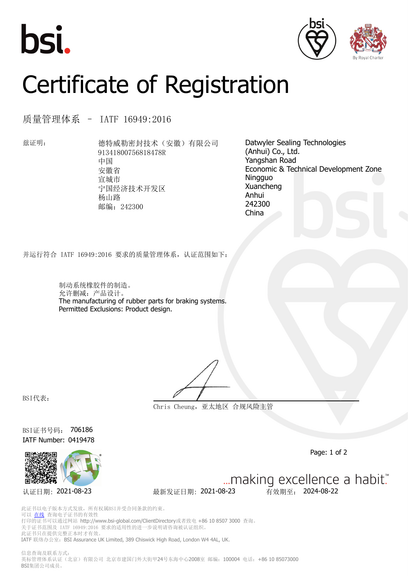





## Certificate of Registration

质量管理体系 – IATF 16949:2016

兹证明: 德特威勒密封技术(安徽)有限公司 91341800756818478R 中国 安徽省 宣城市 宁国经济技术开发区 杨山路 邮编: 242300

Datwyler Sealing Technologies (Anhui) Co., Ltd. Yangshan Road Economic & Technical Development Zone Ningguo Xuancheng Anhui 242300 China

并运行符合 IATF 16949:2016 要求的质量管理体系,认证范围如下:

制动系统橡胶件的制造。 允许删减:产品设计。 The manufacturing of rubber parts for braking systems. Permitted Exclusions: Product design.

BSI代表:

**Chris Cheung,亚太地区 合规风险主管**

BSI证书号码: 706186 IATF Number: 0419478



Page: 1 of 2

... making excellence a habit." 认证日期: 2021-08-23 最新发证日期: 2021-08-23 有效期至: 2024-08-22

此证书以电子版本方式发放,所有权属BSI并受合同条款的约束。 可以 [在线](https://pgplus.bsigroup.com/CertificateValidation/CertificateValidator.aspx?CertificateNumber=706186&ReIssueDate=23%2f08%2f2021&Template=cn) 查询电子证书的有效性 打印的证书可以通过网站 http://www.bsi-global.com/ClientDirectory或者致电 +86 10 8507 3000 查询。 关于证书范围及 IATF 16949:2016 要求的适用性的进一步说明请咨询被认证组织。 此证书只在提供完整正本时才有效。 IATF 联络办公室: BSI Assurance UK Limited, 389 Chiswick High Road, London W4 4AL, UK.